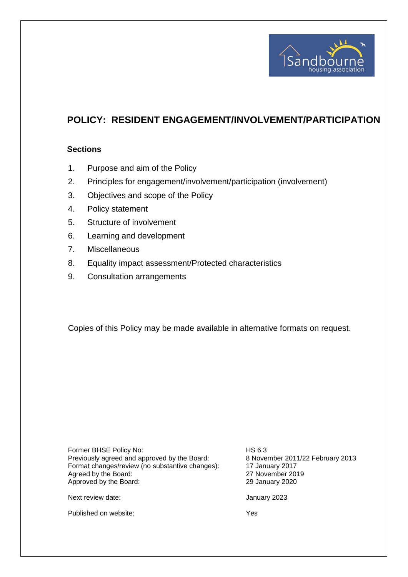

# **POLICY: RESIDENT ENGAGEMENT/INVOLVEMENT/PARTICIPATION**

#### **Sections**

- 1. Purpose and aim of the Policy
- 2. Principles for engagement/involvement/participation (involvement)
- 3. Objectives and scope of the Policy
- 4. Policy statement
- 5. Structure of involvement
- 6. Learning and development
- 7. Miscellaneous
- 8. Equality impact assessment/Protected characteristics
- 9. Consultation arrangements

Copies of this Policy may be made available in alternative formats on request.

Former BHSE Policy No: HS 6.3 Previously agreed and approved by the Board: 8 November 2011/22 February 2013 Format changes/review (no substantive changes): 17 January 2017 Agreed by the Board: 27 November 2019<br>
Approved by the Board: 29 January 2020 Approved by the Board:

Next review date:  $\frac{1}{2}$  Mext review date:

Published on website: Yes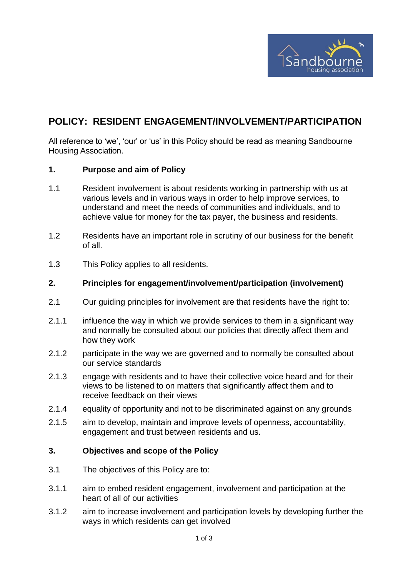

## **POLICY: RESIDENT ENGAGEMENT/INVOLVEMENT/PARTICIPATION**

All reference to 'we', 'our' or 'us' in this Policy should be read as meaning Sandbourne Housing Association.

#### **1. Purpose and aim of Policy**

- 1.1 Resident involvement is about residents working in partnership with us at various levels and in various ways in order to help improve services, to understand and meet the needs of communities and individuals, and to achieve value for money for the tax payer, the business and residents.
- 1.2 Residents have an important role in scrutiny of our business for the benefit of all.
- 1.3 This Policy applies to all residents.

#### **2. Principles for engagement/involvement/participation (involvement)**

- 2.1 Our guiding principles for involvement are that residents have the right to:
- 2.1.1 influence the way in which we provide services to them in a significant way and normally be consulted about our policies that directly affect them and how they work
- 2.1.2 participate in the way we are governed and to normally be consulted about our service standards
- 2.1.3 engage with residents and to have their collective voice heard and for their views to be listened to on matters that significantly affect them and to receive feedback on their views
- 2.1.4 equality of opportunity and not to be discriminated against on any grounds
- 2.1.5 aim to develop, maintain and improve levels of openness, accountability, engagement and trust between residents and us.

#### **3. Objectives and scope of the Policy**

- 3.1 The objectives of this Policy are to:
- 3.1.1 aim to embed resident engagement, involvement and participation at the heart of all of our activities
- 3.1.2 aim to increase involvement and participation levels by developing further the ways in which residents can get involved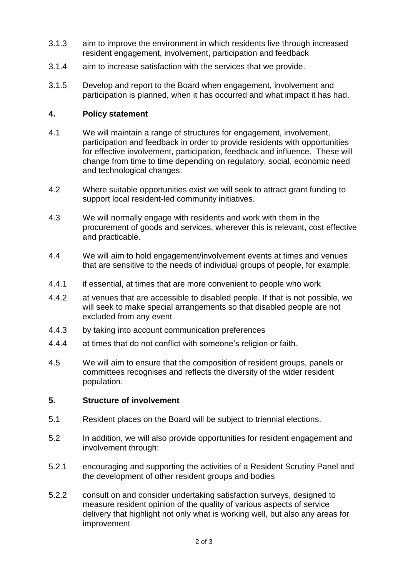- 3.1.3 aim to improve the environment in which residents live through increased resident engagement, involvement, participation and feedback
- 3.1.4 aim to increase satisfaction with the services that we provide.
- 3.1.5 Develop and report to the Board when engagement, involvement and participation is planned, when it has occurred and what impact it has had.

## **4. Policy statement**

- 4.1 We will maintain a range of structures for engagement, involvement, participation and feedback in order to provide residents with opportunities for effective involvement, participation, feedback and influence. These will change from time to time depending on regulatory, social, economic need and technological changes.
- 4.2 Where suitable opportunities exist we will seek to attract grant funding to support local resident-led community initiatives.
- 4.3 We will normally engage with residents and work with them in the procurement of goods and services, wherever this is relevant, cost effective and practicable.
- 4.4 We will aim to hold engagement/involvement events at times and venues that are sensitive to the needs of individual groups of people, for example:
- 4.4.1 if essential, at times that are more convenient to people who work
- 4.4.2 at venues that are accessible to disabled people. If that is not possible, we will seek to make special arrangements so that disabled people are not excluded from any event
- 4.4.3 by taking into account communication preferences
- 4.4.4 at times that do not conflict with someone's religion or faith.
- 4.5 We will aim to ensure that the composition of resident groups, panels or committees recognises and reflects the diversity of the wider resident population.

## **5. Structure of involvement**

- 5.1 Resident places on the Board will be subject to triennial elections.
- 5.2 In addition, we will also provide opportunities for resident engagement and involvement through:
- 5.2.1 encouraging and supporting the activities of a Resident Scrutiny Panel and the development of other resident groups and bodies
- 5.2.2 consult on and consider undertaking satisfaction surveys, designed to measure resident opinion of the quality of various aspects of service delivery that highlight not only what is working well, but also any areas for improvement